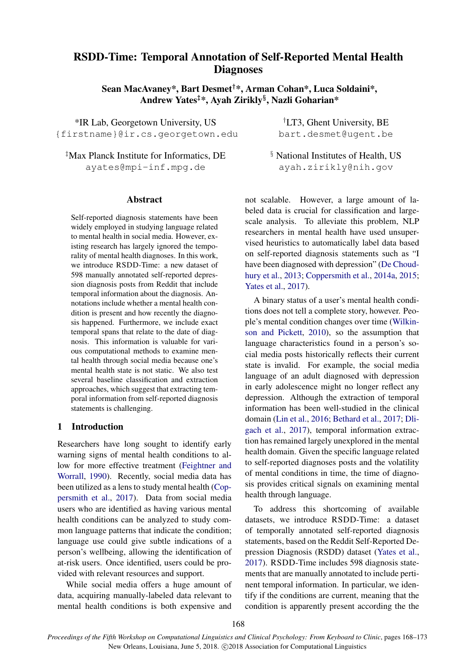# RSDD-Time: Temporal Annotation of Self-Reported Mental Health **Diagnoses**

Sean MacAvaney\*, Bart Desmet†\*, Arman Cohan\*, Luca Soldaini\*, Andrew Yates‡\*, Ayah Zirikly§ , Nazli Goharian\*

\*IR Lab, Georgetown University, US †LT3, Ghent University, BE {firstname}@ir.cs.georgetown.edu bart.desmet@ugent.be

<sup>‡</sup>Max Planck Institute for Informatics, DE  $\frac{1}{2}$  National Institutes of Health, US ayates@mpi-inf.mpg.de ayah.zirikly@nih.gov

### Abstract

Self-reported diagnosis statements have been widely employed in studying language related to mental health in social media. However, existing research has largely ignored the temporality of mental health diagnoses. In this work, we introduce RSDD-Time: a new dataset of 598 manually annotated self-reported depression diagnosis posts from Reddit that include temporal information about the diagnosis. Annotations include whether a mental health condition is present and how recently the diagnosis happened. Furthermore, we include exact temporal spans that relate to the date of diagnosis. This information is valuable for various computational methods to examine mental health through social media because one's mental health state is not static. We also test several baseline classification and extraction approaches, which suggest that extracting temporal information from self-reported diagnosis statements is challenging.

# 1 Introduction

Researchers have long sought to identify early warning signs of mental health conditions to allow for more effective treatment (Feightner and Worrall, 1990). Recently, social media data has been utilized as a lens to study mental health (Coppersmith et al., 2017). Data from social media users who are identified as having various mental health conditions can be analyzed to study common language patterns that indicate the condition; language use could give subtle indications of a person's wellbeing, allowing the identification of at-risk users. Once identified, users could be provided with relevant resources and support.

While social media offers a huge amount of data, acquiring manually-labeled data relevant to mental health conditions is both expensive and

not scalable. However, a large amount of labeled data is crucial for classification and largescale analysis. To alleviate this problem, NLP researchers in mental health have used unsupervised heuristics to automatically label data based on self-reported diagnosis statements such as "I have been diagnosed with depression" (De Choudhury et al., 2013; Coppersmith et al., 2014a, 2015; Yates et al., 2017).

A binary status of a user's mental health conditions does not tell a complete story, however. People's mental condition changes over time (Wilkinson and Pickett, 2010), so the assumption that language characteristics found in a person's social media posts historically reflects their current state is invalid. For example, the social media language of an adult diagnosed with depression in early adolescence might no longer reflect any depression. Although the extraction of temporal information has been well-studied in the clinical domain (Lin et al., 2016; Bethard et al., 2017; Dligach et al., 2017), temporal information extraction has remained largely unexplored in the mental health domain. Given the specific language related to self-reported diagnoses posts and the volatility of mental conditions in time, the time of diagnosis provides critical signals on examining mental health through language.

To address this shortcoming of available datasets, we introduce RSDD-Time: a dataset of temporally annotated self-reported diagnosis statements, based on the Reddit Self-Reported Depression Diagnosis (RSDD) dataset (Yates et al., 2017). RSDD-Time includes 598 diagnosis statements that are manually annotated to include pertinent temporal information. In particular, we identify if the conditions are current, meaning that the condition is apparently present according the the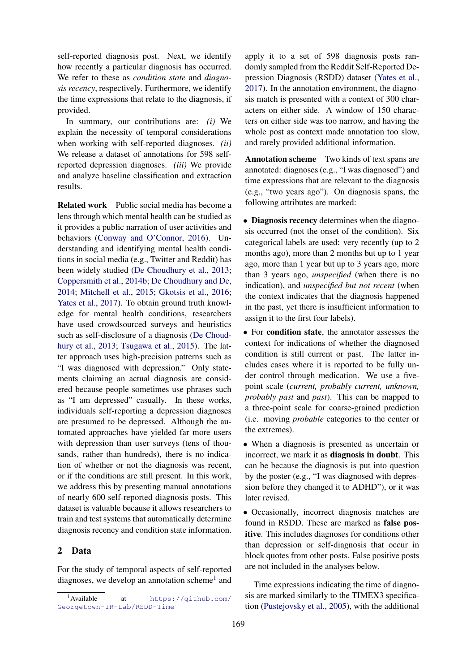self-reported diagnosis post. Next, we identify how recently a particular diagnosis has occurred. We refer to these as *condition state* and *diagnosis recency*, respectively. Furthermore, we identify the time expressions that relate to the diagnosis, if provided.

In summary, our contributions are: *(i)* We explain the necessity of temporal considerations when working with self-reported diagnoses. *(ii)* We release a dataset of annotations for 598 selfreported depression diagnoses. *(iii)* We provide and analyze baseline classification and extraction results.

Related work Public social media has become a lens through which mental health can be studied as it provides a public narration of user activities and behaviors (Conway and O'Connor, 2016). Understanding and identifying mental health conditions in social media (e.g., Twitter and Reddit) has been widely studied (De Choudhury et al., 2013; Coppersmith et al., 2014b; De Choudhury and De, 2014; Mitchell et al., 2015; Gkotsis et al., 2016; Yates et al., 2017). To obtain ground truth knowledge for mental health conditions, researchers have used crowdsourced surveys and heuristics such as self-disclosure of a diagnosis (De Choudhury et al., 2013; Tsugawa et al., 2015). The latter approach uses high-precision patterns such as "I was diagnosed with depression." Only statements claiming an actual diagnosis are considered because people sometimes use phrases such as "I am depressed" casually. In these works, individuals self-reporting a depression diagnoses are presumed to be depressed. Although the automated approaches have yielded far more users with depression than user surveys (tens of thousands, rather than hundreds), there is no indication of whether or not the diagnosis was recent, or if the conditions are still present. In this work, we address this by presenting manual annotations of nearly 600 self-reported diagnosis posts. This dataset is valuable because it allows researchers to train and test systems that automatically determine diagnosis recency and condition state information.

## 2 Data

For the study of temporal aspects of self-reported diagnoses, we develop an annotation scheme<sup>1</sup> and

apply it to a set of 598 diagnosis posts randomly sampled from the Reddit Self-Reported Depression Diagnosis (RSDD) dataset (Yates et al., 2017). In the annotation environment, the diagnosis match is presented with a context of 300 characters on either side. A window of 150 characters on either side was too narrow, and having the whole post as context made annotation too slow, and rarely provided additional information.

Annotation scheme Two kinds of text spans are annotated: diagnoses (e.g., "I was diagnosed") and time expressions that are relevant to the diagnosis (e.g., "two years ago"). On diagnosis spans, the following attributes are marked:

• Diagnosis recency determines when the diagnosis occurred (not the onset of the condition). Six categorical labels are used: very recently (up to 2 months ago), more than 2 months but up to 1 year ago, more than 1 year but up to 3 years ago, more than 3 years ago, *unspecified* (when there is no indication), and *unspecified but not recent* (when the context indicates that the diagnosis happened in the past, yet there is insufficient information to assign it to the first four labels).

• For condition state, the annotator assesses the context for indications of whether the diagnosed condition is still current or past. The latter includes cases where it is reported to be fully under control through medication. We use a fivepoint scale (*current, probably current, unknown, probably past* and *past*). This can be mapped to a three-point scale for coarse-grained prediction (i.e. moving *probable* categories to the center or the extremes).

• When a diagnosis is presented as uncertain or incorrect, we mark it as diagnosis in doubt. This can be because the diagnosis is put into question by the poster (e.g., "I was diagnosed with depression before they changed it to ADHD"), or it was later revised.

• Occasionally, incorrect diagnosis matches are found in RSDD. These are marked as false positive. This includes diagnoses for conditions other than depression or self-diagnosis that occur in block quotes from other posts. False positive posts are not included in the analyses below.

Time expressions indicating the time of diagnosis are marked similarly to the TIMEX3 specification (Pustejovsky et al., 2005), with the additional

<sup>&</sup>lt;sup>1</sup>Available at https://github.com/ Georgetown-IR-Lab/RSDD-Time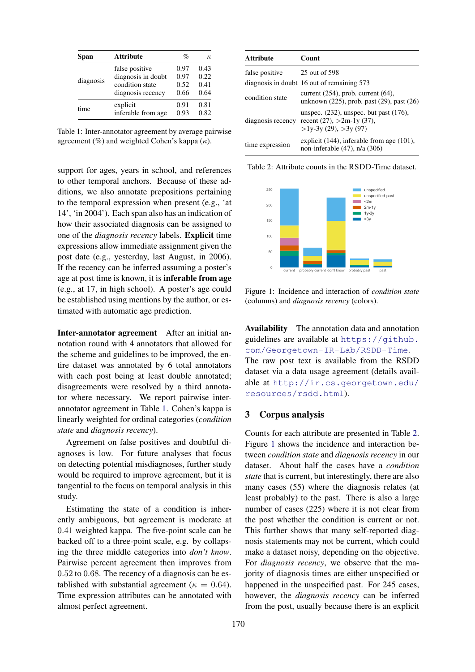| Span      | <b>Attribute</b>   | $\%$ | $\kappa$ |
|-----------|--------------------|------|----------|
| diagnosis | false positive     | 0.97 | 0.43     |
|           | diagnosis in doubt | 0.97 | 0.22     |
|           | condition state    | 0.52 | 0.41     |
|           | diagnosis recency  | 0.66 | 0.64     |
| time      | explicit           | 0.91 | 0.81     |
|           | inferable from age | 0.93 | 0.82     |

Table 1: Inter-annotator agreement by average pairwise agreement (%) and weighted Cohen's kappa  $(\kappa)$ .

support for ages, years in school, and references to other temporal anchors. Because of these additions, we also annotate prepositions pertaining to the temporal expression when present (e.g., 'at 14', 'in 2004'). Each span also has an indication of how their associated diagnosis can be assigned to one of the *diagnosis recency* labels. Explicit time expressions allow immediate assignment given the post date (e.g., yesterday, last August, in 2006). If the recency can be inferred assuming a poster's age at post time is known, it is inferable from age (e.g., at 17, in high school). A poster's age could be established using mentions by the author, or estimated with automatic age prediction.

Inter-annotator agreement After an initial annotation round with 4 annotators that allowed for the scheme and guidelines to be improved, the entire dataset was annotated by 6 total annotators with each post being at least double annotated; disagreements were resolved by a third annotator where necessary. We report pairwise interannotator agreement in Table 1. Cohen's kappa is linearly weighted for ordinal categories (*condition state* and *diagnosis recency*).

Agreement on false positives and doubtful diagnoses is low. For future analyses that focus on detecting potential misdiagnoses, further study would be required to improve agreement, but it is tangential to the focus on temporal analysis in this study.

Estimating the state of a condition is inherently ambiguous, but agreement is moderate at 0.41 weighted kappa. The five-point scale can be backed off to a three-point scale, e.g. by collapsing the three middle categories into *don't know*. Pairwise percent agreement then improves from 0.52 to 0.68. The recency of a diagnosis can be established with substantial agreement ( $\kappa = 0.64$ ). Time expression attributes can be annotated with almost perfect agreement.

| <b>Attribute</b>  | <b>Count</b>                                                                                               |
|-------------------|------------------------------------------------------------------------------------------------------------|
| false positive    | 25 out of 598                                                                                              |
|                   | diagnosis in doubt 16 out of remaining 573                                                                 |
| condition state   | current $(254)$ , prob. current $(64)$ ,<br>unknown $(225)$ , prob. past $(29)$ , past $(26)$              |
| diagnosis recency | unspec. $(232)$ , unspec. but past $(176)$ ,<br>recent $(27)$ , $>2m-1y(37)$ ,<br>$>1y-3y(29)$ , $>3y(97)$ |
| time expression   | explicit $(144)$ , inferable from age $(101)$ ,<br>non-inferable $(47)$ , n/a $(306)$                      |

Table 2: Attribute counts in the RSDD-Time dataset.



Figure 1: Incidence and interaction of *condition state* (columns) and *diagnosis recency* (colors).

Availability The annotation data and annotation guidelines are available at https://github. com/Georgetown-IR-Lab/RSDD-Time. The raw post text is available from the RSDD dataset via a data usage agreement (details available at http://ir.cs.georgetown.edu/ resources/rsdd.html).

## 3 Corpus analysis

Counts for each attribute are presented in Table 2. Figure 1 shows the incidence and interaction between *condition state* and *diagnosis recency* in our dataset. About half the cases have a *condition state* that is current, but interestingly, there are also many cases (55) where the diagnosis relates (at least probably) to the past. There is also a large number of cases (225) where it is not clear from the post whether the condition is current or not. This further shows that many self-reported diagnosis statements may not be current, which could make a dataset noisy, depending on the objective. For *diagnosis recency*, we observe that the majority of diagnosis times are either unspecified or happened in the unspecified past. For 245 cases, however, the *diagnosis recency* can be inferred from the post, usually because there is an explicit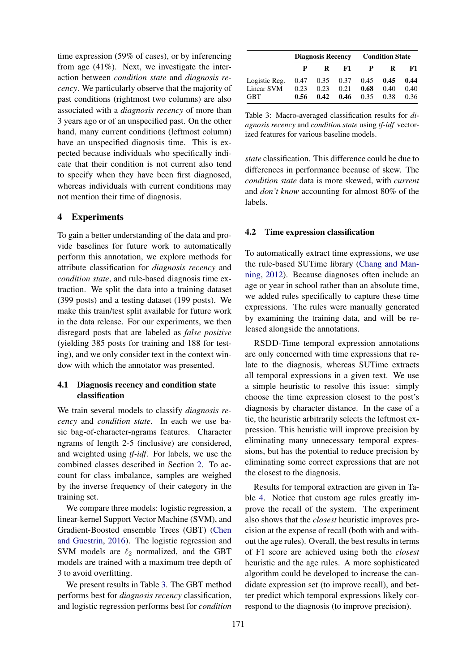time expression (59% of cases), or by inferencing from age  $(41\%)$ . Next, we investigate the interaction between *condition state* and *diagnosis recency*. We particularly observe that the majority of past conditions (rightmost two columns) are also associated with a *diagnosis recency* of more than 3 years ago or of an unspecified past. On the other hand, many current conditions (leftmost column) have an unspecified diagnosis time. This is expected because individuals who specifically indicate that their condition is not current also tend to specify when they have been first diagnosed, whereas individuals with current conditions may not mention their time of diagnosis.

## 4 Experiments

To gain a better understanding of the data and provide baselines for future work to automatically perform this annotation, we explore methods for attribute classification for *diagnosis recency* and *condition state*, and rule-based diagnosis time extraction. We split the data into a training dataset (399 posts) and a testing dataset (199 posts). We make this train/test split available for future work in the data release. For our experiments, we then disregard posts that are labeled as *false positive* (yielding 385 posts for training and 188 for testing), and we only consider text in the context window with which the annotator was presented.

# 4.1 Diagnosis recency and condition state classification

We train several models to classify *diagnosis recency* and *condition state*. In each we use basic bag-of-character-ngrams features. Character ngrams of length 2-5 (inclusive) are considered, and weighted using *tf-idf*. For labels, we use the combined classes described in Section 2. To account for class imbalance, samples are weighed by the inverse frequency of their category in the training set.

We compare three models: logistic regression, a linear-kernel Support Vector Machine (SVM), and Gradient-Boosted ensemble Trees (GBT) (Chen and Guestrin, 2016). The logistic regression and SVM models are  $\ell_2$  normalized, and the GBT models are trained with a maximum tree depth of 3 to avoid overfitting.

We present results in Table 3. The GBT method performs best for *diagnosis recency* classification, and logistic regression performs best for *condition*

|               | <b>Diagnosis Recency</b> |      |                             | <b>Condition State</b> |      |      |
|---------------|--------------------------|------|-----------------------------|------------------------|------|------|
|               |                          | R    | F1                          | P                      | R    | F1   |
| Logistic Reg. |                          |      | $0.47$ $0.35$ $0.37$ $0.45$ |                        | 0.45 | 0.44 |
| Linear SVM    | 0.23                     | 0.23 | 0.21                        | 0.68                   | 0.40 | 0.40 |
| <b>GBT</b>    | 0.56                     | 0.42 | 0.46                        | 0.35                   | 0.38 | 0.36 |

Table 3: Macro-averaged classification results for *diagnosis recency* and *condition state* using *tf-idf* vectorized features for various baseline models.

*state* classification. This difference could be due to differences in performance because of skew. The *condition state* data is more skewed, with *current* and *don't know* accounting for almost 80% of the labels.

#### 4.2 Time expression classification

To automatically extract time expressions, we use the rule-based SUTime library (Chang and Manning, 2012). Because diagnoses often include an age or year in school rather than an absolute time, we added rules specifically to capture these time expressions. The rules were manually generated by examining the training data, and will be released alongside the annotations.

RSDD-Time temporal expression annotations are only concerned with time expressions that relate to the diagnosis, whereas SUTime extracts all temporal expressions in a given text. We use a simple heuristic to resolve this issue: simply choose the time expression closest to the post's diagnosis by character distance. In the case of a tie, the heuristic arbitrarily selects the leftmost expression. This heuristic will improve precision by eliminating many unnecessary temporal expressions, but has the potential to reduce precision by eliminating some correct expressions that are not the closest to the diagnosis.

Results for temporal extraction are given in Table 4. Notice that custom age rules greatly improve the recall of the system. The experiment also shows that the *closest* heuristic improves precision at the expense of recall (both with and without the age rules). Overall, the best results in terms of F1 score are achieved using both the *closest* heuristic and the age rules. A more sophisticated algorithm could be developed to increase the candidate expression set (to improve recall), and better predict which temporal expressions likely correspond to the diagnosis (to improve precision).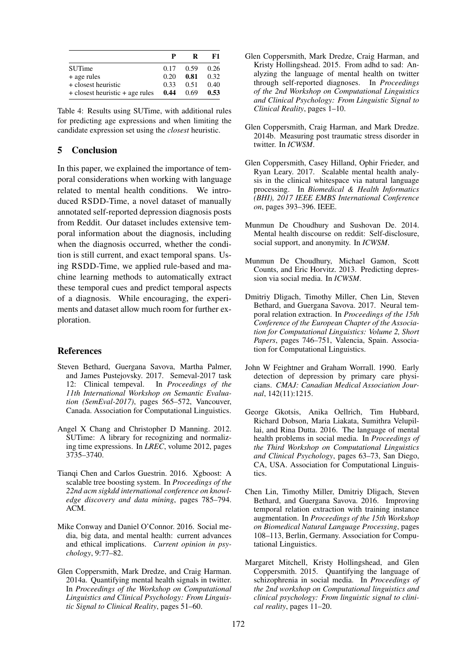|                                 | P    | R    | F1   |
|---------------------------------|------|------|------|
| <b>SUTime</b>                   | 0.17 | 0.59 | 0.26 |
| + age rules                     | 0.20 | 0.81 | 0.32 |
| + closest heuristic             | 0.33 | 0.51 | 0.40 |
| + closest heuristic + age rules | 0.44 | 0.69 | 0.53 |

Table 4: Results using SUTime, with additional rules for predicting age expressions and when limiting the candidate expression set using the *closest* heuristic.

## 5 Conclusion

In this paper, we explained the importance of temporal considerations when working with language related to mental health conditions. We introduced RSDD-Time, a novel dataset of manually annotated self-reported depression diagnosis posts from Reddit. Our dataset includes extensive temporal information about the diagnosis, including when the diagnosis occurred, whether the condition is still current, and exact temporal spans. Using RSDD-Time, we applied rule-based and machine learning methods to automatically extract these temporal cues and predict temporal aspects of a diagnosis. While encouraging, the experiments and dataset allow much room for further exploration.

#### References

- Steven Bethard, Guergana Savova, Martha Palmer, and James Pustejovsky. 2017. Semeval-2017 task 12: Clinical tempeval. In *Proceedings of the 11th International Workshop on Semantic Evaluation (SemEval-2017)*, pages 565–572, Vancouver, Canada. Association for Computational Linguistics.
- Angel X Chang and Christopher D Manning. 2012. SUTime: A library for recognizing and normalizing time expressions. In *LREC*, volume 2012, pages 3735–3740.
- Tianqi Chen and Carlos Guestrin. 2016. Xgboost: A scalable tree boosting system. In *Proceedings of the 22nd acm sigkdd international conference on knowledge discovery and data mining*, pages 785–794. ACM.
- Mike Conway and Daniel O'Connor. 2016. Social media, big data, and mental health: current advances and ethical implications. *Current opinion in psychology*, 9:77–82.
- Glen Coppersmith, Mark Dredze, and Craig Harman. 2014a. Quantifying mental health signals in twitter. In *Proceedings of the Workshop on Computational Linguistics and Clinical Psychology: From Linguistic Signal to Clinical Reality*, pages 51–60.
- Glen Coppersmith, Mark Dredze, Craig Harman, and Kristy Hollingshead. 2015. From adhd to sad: Analyzing the language of mental health on twitter through self-reported diagnoses. In *Proceedings of the 2nd Workshop on Computational Linguistics and Clinical Psychology: From Linguistic Signal to Clinical Reality*, pages 1–10.
- Glen Coppersmith, Craig Harman, and Mark Dredze. 2014b. Measuring post traumatic stress disorder in twitter. In *ICWSM*.
- Glen Coppersmith, Casey Hilland, Ophir Frieder, and Ryan Leary. 2017. Scalable mental health analysis in the clinical whitespace via natural language processing. In *Biomedical & Health Informatics (BHI), 2017 IEEE EMBS International Conference on*, pages 393–396. IEEE.
- Munmun De Choudhury and Sushovan De. 2014. Mental health discourse on reddit: Self-disclosure, social support, and anonymity. In *ICWSM*.
- Munmun De Choudhury, Michael Gamon, Scott Counts, and Eric Horvitz. 2013. Predicting depression via social media. In *ICWSM*.
- Dmitriy Dligach, Timothy Miller, Chen Lin, Steven Bethard, and Guergana Savova. 2017. Neural temporal relation extraction. In *Proceedings of the 15th Conference of the European Chapter of the Association for Computational Linguistics: Volume 2, Short Papers*, pages 746–751, Valencia, Spain. Association for Computational Linguistics.
- John W Feightner and Graham Worrall. 1990. Early detection of depression by primary care physicians. *CMAJ: Canadian Medical Association Journal*, 142(11):1215.
- George Gkotsis, Anika Oellrich, Tim Hubbard, Richard Dobson, Maria Liakata, Sumithra Velupillai, and Rina Dutta. 2016. The language of mental health problems in social media. In *Proceedings of the Third Workshop on Computational Linguistics and Clinical Psychology*, pages 63–73, San Diego, CA, USA. Association for Computational Linguistics.
- Chen Lin, Timothy Miller, Dmitriy Dligach, Steven Bethard, and Guergana Savova. 2016. Improving temporal relation extraction with training instance augmentation. In *Proceedings of the 15th Workshop on Biomedical Natural Language Processing*, pages 108–113, Berlin, Germany. Association for Computational Linguistics.
- Margaret Mitchell, Kristy Hollingshead, and Glen Coppersmith. 2015. Quantifying the language of schizophrenia in social media. In *Proceedings of the 2nd workshop on Computational linguistics and clinical psychology: From linguistic signal to clinical reality*, pages 11–20.